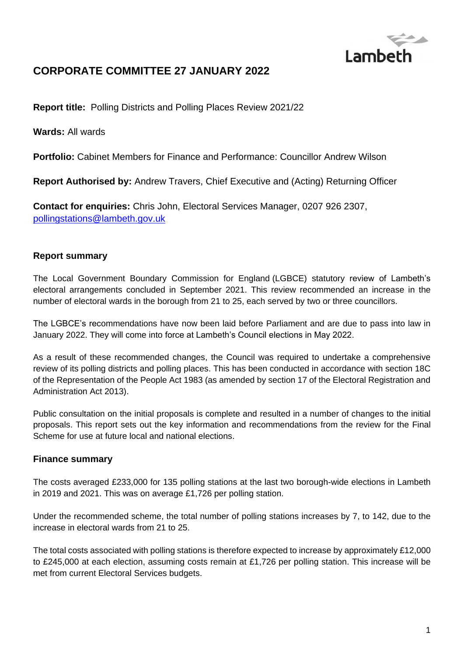

# **CORPORATE COMMITTEE 27 JANUARY 2022**

**Report title:** Polling Districts and Polling Places Review 2021/22

**Wards:** All wards

**Portfolio:** Cabinet Members for Finance and Performance: Councillor Andrew Wilson

**Report Authorised by:** Andrew Travers, Chief Executive and (Acting) Returning Officer

**Contact for enquiries:** Chris John, Electoral Services Manager, 0207 926 2307, [pollingstations@lambeth.gov.uk](mailto:pollingstations@lambeth.gov.uk)

## **Report summary**

The Local Government Boundary Commission for England (LGBCE) statutory review of Lambeth's electoral arrangements concluded in September 2021. This review recommended an increase in the number of electoral wards in the borough from 21 to 25, each served by two or three councillors.

The LGBCE's recommendations have now been laid before Parliament and are due to pass into law in January 2022. They will come into force at Lambeth's Council elections in May 2022.

As a result of these recommended changes, the Council was required to undertake a comprehensive review of its polling districts and polling places. This has been conducted in accordance with section 18C of the Representation of the People Act 1983 (as amended by section 17 of the Electoral Registration and Administration Act 2013).

Public consultation on the initial proposals is complete and resulted in a number of changes to the initial proposals. This report sets out the key information and recommendations from the review for the Final Scheme for use at future local and national elections.

## **Finance summary**

The costs averaged £233,000 for 135 polling stations at the last two borough-wide elections in Lambeth in 2019 and 2021. This was on average £1,726 per polling station.

Under the recommended scheme, the total number of polling stations increases by 7, to 142, due to the increase in electoral wards from 21 to 25.

The total costs associated with polling stations is therefore expected to increase by approximately £12,000 to £245,000 at each election, assuming costs remain at £1,726 per polling station. This increase will be met from current Electoral Services budgets.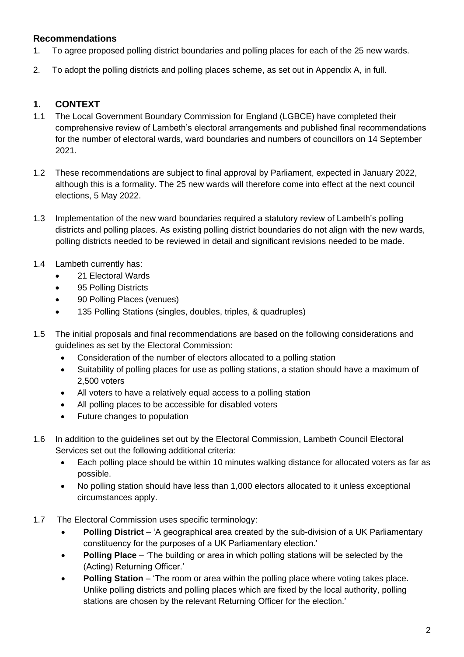## **Recommendations**

- 1. To agree proposed polling district boundaries and polling places for each of the 25 new wards.
- 2. To adopt the polling districts and polling places scheme, as set out in Appendix A, in full.

## **1. CONTEXT**

- 1.1 The Local Government Boundary Commission for England (LGBCE) have completed their comprehensive review of Lambeth's electoral arrangements and published final recommendations for the number of electoral wards, ward boundaries and numbers of councillors on 14 September 2021.
- 1.2 These recommendations are subject to final approval by Parliament, expected in January 2022, although this is a formality. The 25 new wards will therefore come into effect at the next council elections, 5 May 2022.
- 1.3 Implementation of the new ward boundaries required a statutory review of Lambeth's polling districts and polling places. As existing polling district boundaries do not align with the new wards, polling districts needed to be reviewed in detail and significant revisions needed to be made.
- 1.4 Lambeth currently has:
	- 21 Electoral Wards
	- 95 Polling Districts
	- 90 Polling Places (venues)
	- 135 Polling Stations (singles, doubles, triples, & quadruples)
- 1.5 The initial proposals and final recommendations are based on the following considerations and guidelines as set by the Electoral Commission:
	- Consideration of the number of electors allocated to a polling station
	- Suitability of polling places for use as polling stations, a station should have a maximum of 2,500 voters
	- All voters to have a relatively equal access to a polling station
	- All polling places to be accessible for disabled voters
	- Future changes to population
- 1.6 In addition to the guidelines set out by the Electoral Commission, Lambeth Council Electoral Services set out the following additional criteria:
	- Each polling place should be within 10 minutes walking distance for allocated voters as far as possible.
	- No polling station should have less than 1,000 electors allocated to it unless exceptional circumstances apply.
- 1.7 The Electoral Commission uses specific terminology:
	- **Polling District** 'A geographical area created by the sub-division of a UK Parliamentary constituency for the purposes of a UK Parliamentary election.'
	- **Polling Place** 'The building or area in which polling stations will be selected by the (Acting) Returning Officer.'
	- **Polling Station** 'The room or area within the polling place where voting takes place. Unlike polling districts and polling places which are fixed by the local authority, polling stations are chosen by the relevant Returning Officer for the election.'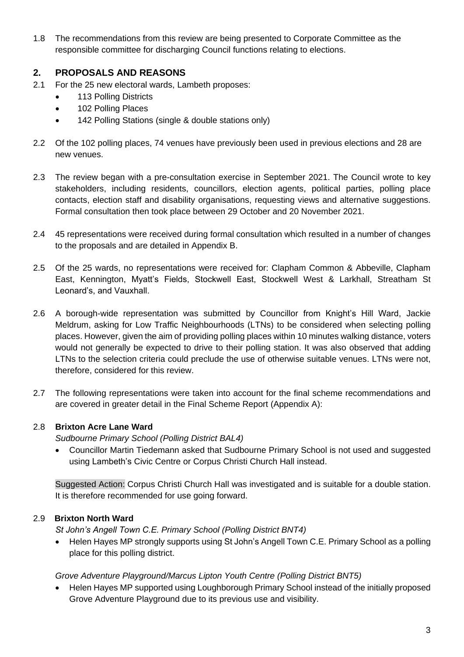1.8 The recommendations from this review are being presented to Corporate Committee as the responsible committee for discharging Council functions relating to elections.

## **2. PROPOSALS AND REASONS**

- 2.1 For the 25 new electoral wards, Lambeth proposes:
	- 113 Polling Districts
	- 102 Polling Places
	- 142 Polling Stations (single & double stations only)
- 2.2 Of the 102 polling places, 74 venues have previously been used in previous elections and 28 are new venues.
- 2.3 The review began with a pre-consultation exercise in September 2021. The Council wrote to key stakeholders, including residents, councillors, election agents, political parties, polling place contacts, election staff and disability organisations, requesting views and alternative suggestions. Formal consultation then took place between 29 October and 20 November 2021.
- 2.4 45 representations were received during formal consultation which resulted in a number of changes to the proposals and are detailed in Appendix B.
- 2.5 Of the 25 wards, no representations were received for: Clapham Common & Abbeville, Clapham East, Kennington, Myatt's Fields, Stockwell East, Stockwell West & Larkhall, Streatham St Leonard's, and Vauxhall.
- 2.6 A borough-wide representation was submitted by Councillor from Knight's Hill Ward, Jackie Meldrum, asking for Low Traffic Neighbourhoods (LTNs) to be considered when selecting polling places. However, given the aim of providing polling places within 10 minutes walking distance, voters would not generally be expected to drive to their polling station. It was also observed that adding LTNs to the selection criteria could preclude the use of otherwise suitable venues. LTNs were not, therefore, considered for this review.
- 2.7 The following representations were taken into account for the final scheme recommendations and are covered in greater detail in the Final Scheme Report (Appendix A):

## 2.8 **Brixton Acre Lane Ward**

*Sudbourne Primary School (Polling District BAL4)*

• Councillor Martin Tiedemann asked that Sudbourne Primary School is not used and suggested using Lambeth's Civic Centre or Corpus Christi Church Hall instead.

Suggested Action: Corpus Christi Church Hall was investigated and is suitable for a double station. It is therefore recommended for use going forward.

## 2.9 **Brixton North Ward**

*St John's Angell Town C.E. Primary School (Polling District BNT4)*

• Helen Hayes MP strongly supports using St John's Angell Town C.E. Primary School as a polling place for this polling district.

#### *Grove Adventure Playground/Marcus Lipton Youth Centre (Polling District BNT5)*

• Helen Hayes MP supported using Loughborough Primary School instead of the initially proposed Grove Adventure Playground due to its previous use and visibility.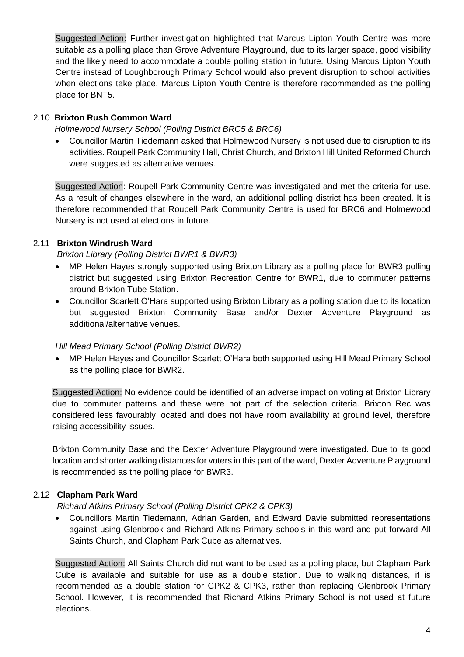Suggested Action: Further investigation highlighted that Marcus Lipton Youth Centre was more suitable as a polling place than Grove Adventure Playground, due to its larger space, good visibility and the likely need to accommodate a double polling station in future. Using Marcus Lipton Youth Centre instead of Loughborough Primary School would also prevent disruption to school activities when elections take place. Marcus Lipton Youth Centre is therefore recommended as the polling place for BNT5.

### 2.10 **Brixton Rush Common Ward**

*Holmewood Nursery School (Polling District BRC5 & BRC6)*

• Councillor Martin Tiedemann asked that Holmewood Nursery is not used due to disruption to its activities. Roupell Park Community Hall, Christ Church, and Brixton Hill United Reformed Church were suggested as alternative venues.

Suggested Action: Roupell Park Community Centre was investigated and met the criteria for use. As a result of changes elsewhere in the ward, an additional polling district has been created. It is therefore recommended that Roupell Park Community Centre is used for BRC6 and Holmewood Nursery is not used at elections in future.

## 2.11 **Brixton Windrush Ward**

*Brixton Library (Polling District BWR1 & BWR3)*

- MP Helen Hayes strongly supported using Brixton Library as a polling place for BWR3 polling district but suggested using Brixton Recreation Centre for BWR1, due to commuter patterns around Brixton Tube Station.
- Councillor Scarlett O'Hara supported using Brixton Library as a polling station due to its location but suggested Brixton Community Base and/or Dexter Adventure Playground as additional/alternative venues.

#### *Hill Mead Primary School (Polling District BWR2)*

• MP Helen Hayes and Councillor Scarlett O'Hara both supported using Hill Mead Primary School as the polling place for BWR2.

Suggested Action: No evidence could be identified of an adverse impact on voting at Brixton Library due to commuter patterns and these were not part of the selection criteria. Brixton Rec was considered less favourably located and does not have room availability at ground level, therefore raising accessibility issues.

Brixton Community Base and the Dexter Adventure Playground were investigated. Due to its good location and shorter walking distances for voters in this part of the ward, Dexter Adventure Playground is recommended as the polling place for BWR3.

## 2.12 **Clapham Park Ward**

*Richard Atkins Primary School (Polling District CPK2 & CPK3)*

• Councillors Martin Tiedemann, Adrian Garden, and Edward Davie submitted representations against using Glenbrook and Richard Atkins Primary schools in this ward and put forward All Saints Church, and Clapham Park Cube as alternatives.

Suggested Action: All Saints Church did not want to be used as a polling place, but Clapham Park Cube is available and suitable for use as a double station. Due to walking distances, it is recommended as a double station for CPK2 & CPK3, rather than replacing Glenbrook Primary School. However, it is recommended that Richard Atkins Primary School is not used at future elections.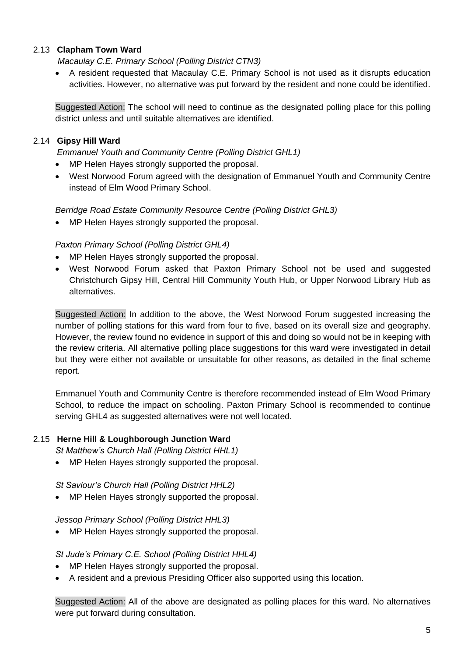## 2.13 **Clapham Town Ward**

*Macaulay C.E. Primary School (Polling District CTN3)*

• A resident requested that Macaulay C.E. Primary School is not used as it disrupts education activities. However, no alternative was put forward by the resident and none could be identified.

Suggested Action: The school will need to continue as the designated polling place for this polling district unless and until suitable alternatives are identified.

## 2.14 **Gipsy Hill Ward**

*Emmanuel Youth and Community Centre (Polling District GHL1)*

- MP Helen Hayes strongly supported the proposal.
- West Norwood Forum agreed with the designation of Emmanuel Youth and Community Centre instead of Elm Wood Primary School.

## *Berridge Road Estate Community Resource Centre (Polling District GHL3)*

• MP Helen Hayes strongly supported the proposal.

## *Paxton Primary School (Polling District GHL4)*

- MP Helen Hayes strongly supported the proposal.
- West Norwood Forum asked that Paxton Primary School not be used and suggested Christchurch Gipsy Hill, Central Hill Community Youth Hub, or Upper Norwood Library Hub as alternatives.

Suggested Action: In addition to the above, the West Norwood Forum suggested increasing the number of polling stations for this ward from four to five, based on its overall size and geography. However, the review found no evidence in support of this and doing so would not be in keeping with the review criteria. All alternative polling place suggestions for this ward were investigated in detail but they were either not available or unsuitable for other reasons, as detailed in the final scheme report.

Emmanuel Youth and Community Centre is therefore recommended instead of Elm Wood Primary School, to reduce the impact on schooling. Paxton Primary School is recommended to continue serving GHL4 as suggested alternatives were not well located.

#### 2.15 **Herne Hill & Loughborough Junction Ward**

*St Matthew's Church Hall (Polling District HHL1)*

• MP Helen Hayes strongly supported the proposal.

*St Saviour's Church Hall (Polling District HHL2)*

• MP Helen Hayes strongly supported the proposal.

*Jessop Primary School (Polling District HHL3)*

• MP Helen Hayes strongly supported the proposal.

#### *St Jude's Primary C.E. School (Polling District HHL4)*

- MP Helen Hayes strongly supported the proposal.
- A resident and a previous Presiding Officer also supported using this location.

Suggested Action: All of the above are designated as polling places for this ward. No alternatives were put forward during consultation.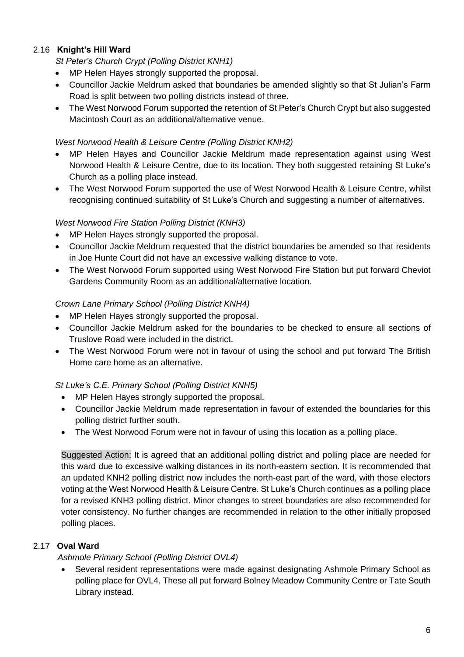## 2.16 **Knight's Hill Ward**

*St Peter's Church Crypt (Polling District KNH1)*

- MP Helen Hayes strongly supported the proposal.
- Councillor Jackie Meldrum asked that boundaries be amended slightly so that St Julian's Farm Road is split between two polling districts instead of three.
- The West Norwood Forum supported the retention of St Peter's Church Crypt but also suggested Macintosh Court as an additional/alternative venue.

#### *West Norwood Health & Leisure Centre (Polling District KNH2)*

- MP Helen Hayes and Councillor Jackie Meldrum made representation against using West Norwood Health & Leisure Centre, due to its location. They both suggested retaining St Luke's Church as a polling place instead.
- The West Norwood Forum supported the use of West Norwood Health & Leisure Centre, whilst recognising continued suitability of St Luke's Church and suggesting a number of alternatives.

#### *West Norwood Fire Station Polling District (KNH3)*

- MP Helen Hayes strongly supported the proposal.
- Councillor Jackie Meldrum requested that the district boundaries be amended so that residents in Joe Hunte Court did not have an excessive walking distance to vote.
- The West Norwood Forum supported using West Norwood Fire Station but put forward Cheviot Gardens Community Room as an additional/alternative location.

#### *Crown Lane Primary School (Polling District KNH4)*

- MP Helen Hayes strongly supported the proposal.
- Councillor Jackie Meldrum asked for the boundaries to be checked to ensure all sections of Truslove Road were included in the district.
- The West Norwood Forum were not in favour of using the school and put forward The British Home care home as an alternative.

## *St Luke's C.E. Primary School (Polling District KNH5)*

- MP Helen Hayes strongly supported the proposal.
- Councillor Jackie Meldrum made representation in favour of extended the boundaries for this polling district further south.
- The West Norwood Forum were not in favour of using this location as a polling place.

Suggested Action: It is agreed that an additional polling district and polling place are needed for this ward due to excessive walking distances in its north-eastern section. It is recommended that an updated KNH2 polling district now includes the north-east part of the ward, with those electors voting at the West Norwood Health & Leisure Centre. St Luke's Church continues as a polling place for a revised KNH3 polling district. Minor changes to street boundaries are also recommended for voter consistency. No further changes are recommended in relation to the other initially proposed polling places.

## 2.17 **Oval Ward**

#### *Ashmole Primary School (Polling District OVL4)*

• Several resident representations were made against designating Ashmole Primary School as polling place for OVL4. These all put forward Bolney Meadow Community Centre or Tate South Library instead.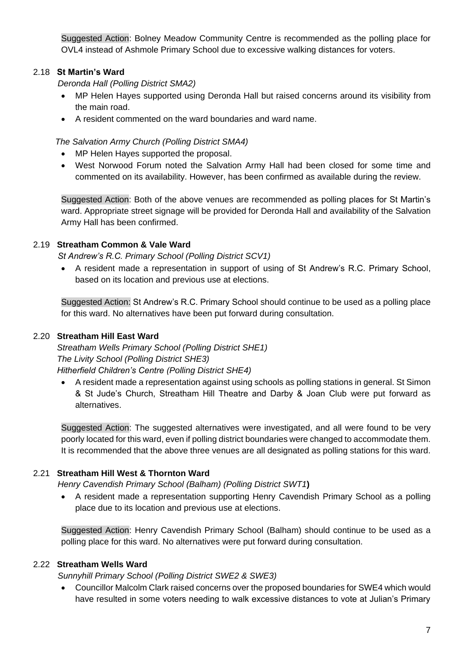Suggested Action: Bolney Meadow Community Centre is recommended as the polling place for OVL4 instead of Ashmole Primary School due to excessive walking distances for voters.

## 2.18 **St Martin's Ward**

*Deronda Hall (Polling District SMA2)*

- MP Helen Hayes supported using Deronda Hall but raised concerns around its visibility from the main road.
- A resident commented on the ward boundaries and ward name.

*The Salvation Army Church (Polling District SMA4)*

- MP Helen Haves supported the proposal.
- West Norwood Forum noted the Salvation Army Hall had been closed for some time and commented on its availability. However, has been confirmed as available during the review.

Suggested Action: Both of the above venues are recommended as polling places for St Martin's ward. Appropriate street signage will be provided for Deronda Hall and availability of the Salvation Army Hall has been confirmed.

## 2.19 **Streatham Common & Vale Ward**

*St Andrew's R.C. Primary School (Polling District SCV1)*

• A resident made a representation in support of using of St Andrew's R.C. Primary School, based on its location and previous use at elections.

Suggested Action: St Andrew's R.C. Primary School should continue to be used as a polling place for this ward. No alternatives have been put forward during consultation.

## 2.20 **Streatham Hill East Ward**

*Streatham Wells Primary School (Polling District SHE1) The Livity School (Polling District SHE3) Hitherfield Children's Centre (Polling District SHE4)*

• A resident made a representation against using schools as polling stations in general. St Simon & St Jude's Church, Streatham Hill Theatre and Darby & Joan Club were put forward as alternatives.

Suggested Action: The suggested alternatives were investigated, and all were found to be very poorly located for this ward, even if polling district boundaries were changed to accommodate them. It is recommended that the above three venues are all designated as polling stations for this ward.

## 2.21 **Streatham Hill West & Thornton Ward**

*Henry Cavendish Primary School (Balham) (Polling District SWT1***)**

• A resident made a representation supporting Henry Cavendish Primary School as a polling place due to its location and previous use at elections.

Suggested Action: Henry Cavendish Primary School (Balham) should continue to be used as a polling place for this ward. No alternatives were put forward during consultation.

## 2.22 **Streatham Wells Ward**

*Sunnyhill Primary School (Polling District SWE2 & SWE3)*

• Councillor Malcolm Clark raised concerns over the proposed boundaries for SWE4 which would have resulted in some voters needing to walk excessive distances to vote at Julian's Primary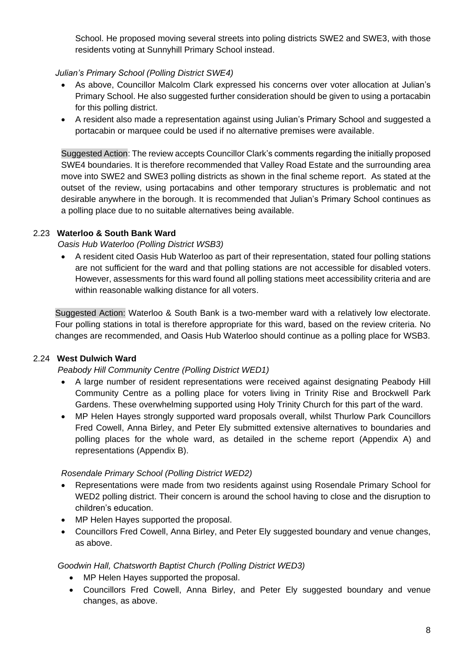School. He proposed moving several streets into poling districts SWE2 and SWE3, with those residents voting at Sunnyhill Primary School instead.

## *Julian's Primary School (Polling District SWE4)*

- As above, Councillor Malcolm Clark expressed his concerns over voter allocation at Julian's Primary School. He also suggested further consideration should be given to using a portacabin for this polling district.
- A resident also made a representation against using Julian's Primary School and suggested a portacabin or marquee could be used if no alternative premises were available.

Suggested Action: The review accepts Councillor Clark's comments regarding the initially proposed SWE4 boundaries. It is therefore recommended that Valley Road Estate and the surrounding area move into SWE2 and SWE3 polling districts as shown in the final scheme report. As stated at the outset of the review, using portacabins and other temporary structures is problematic and not desirable anywhere in the borough. It is recommended that Julian's Primary School continues as a polling place due to no suitable alternatives being available.

## 2.23 **Waterloo & South Bank Ward**

*Oasis Hub Waterloo (Polling District WSB3)*

• A resident cited Oasis Hub Waterloo as part of their representation, stated four polling stations are not sufficient for the ward and that polling stations are not accessible for disabled voters. However, assessments for this ward found all polling stations meet accessibility criteria and are within reasonable walking distance for all voters.

Suggested Action: Waterloo & South Bank is a two-member ward with a relatively low electorate. Four polling stations in total is therefore appropriate for this ward, based on the review criteria. No changes are recommended, and Oasis Hub Waterloo should continue as a polling place for WSB3.

## 2.24 **West Dulwich Ward**

## *Peabody Hill Community Centre (Polling District WED1)*

- A large number of resident representations were received against designating Peabody Hill Community Centre as a polling place for voters living in Trinity Rise and Brockwell Park Gardens. These overwhelming supported using Holy Trinity Church for this part of the ward.
- MP Helen Hayes strongly supported ward proposals overall, whilst Thurlow Park Councillors Fred Cowell, Anna Birley, and Peter Ely submitted extensive alternatives to boundaries and polling places for the whole ward, as detailed in the scheme report (Appendix A) and representations (Appendix B).

## *Rosendale Primary School (Polling District WED2)*

- Representations were made from two residents against using Rosendale Primary School for WED2 polling district. Their concern is around the school having to close and the disruption to children's education.
- MP Helen Hayes supported the proposal.
- Councillors Fred Cowell, Anna Birley, and Peter Ely suggested boundary and venue changes, as above.

## *Goodwin Hall, Chatsworth Baptist Church (Polling District WED3)*

- MP Helen Hayes supported the proposal.
- Councillors Fred Cowell, Anna Birley, and Peter Ely suggested boundary and venue changes, as above.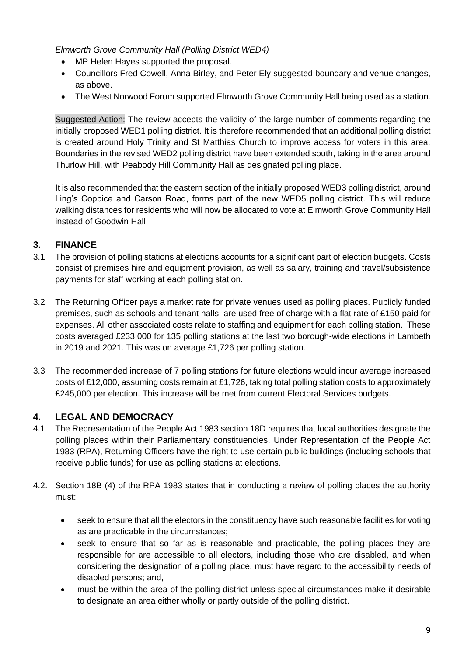*Elmworth Grove Community Hall (Polling District WED4)*

- MP Helen Hayes supported the proposal.
- Councillors Fred Cowell, Anna Birley, and Peter Ely suggested boundary and venue changes, as above.
- The West Norwood Forum supported Elmworth Grove Community Hall being used as a station.

Suggested Action: The review accepts the validity of the large number of comments regarding the initially proposed WED1 polling district. It is therefore recommended that an additional polling district is created around Holy Trinity and St Matthias Church to improve access for voters in this area. Boundaries in the revised WED2 polling district have been extended south, taking in the area around Thurlow Hill, with Peabody Hill Community Hall as designated polling place.

It is also recommended that the eastern section of the initially proposed WED3 polling district, around Ling's Coppice and Carson Road, forms part of the new WED5 polling district. This will reduce walking distances for residents who will now be allocated to vote at Elmworth Grove Community Hall instead of Goodwin Hall.

## **3. FINANCE**

- 3.1 The provision of polling stations at elections accounts for a significant part of election budgets. Costs consist of premises hire and equipment provision, as well as salary, training and travel/subsistence payments for staff working at each polling station.
- 3.2 The Returning Officer pays a market rate for private venues used as polling places. Publicly funded premises, such as schools and tenant halls, are used free of charge with a flat rate of £150 paid for expenses. All other associated costs relate to staffing and equipment for each polling station. These costs averaged £233,000 for 135 polling stations at the last two borough-wide elections in Lambeth in 2019 and 2021. This was on average £1,726 per polling station.
- 3.3 The recommended increase of 7 polling stations for future elections would incur average increased costs of £12,000, assuming costs remain at £1,726, taking total polling station costs to approximately £245,000 per election. This increase will be met from current Electoral Services budgets.

## **4. LEGAL AND DEMOCRACY**

- 4.1 The Representation of the People Act 1983 section 18D requires that local authorities designate the polling places within their Parliamentary constituencies. Under Representation of the People Act 1983 (RPA), Returning Officers have the right to use certain public buildings (including schools that receive public funds) for use as polling stations at elections.
- 4.2. Section 18B (4) of the RPA 1983 states that in conducting a review of polling places the authority must:
	- seek to ensure that all the electors in the constituency have such reasonable facilities for voting as are practicable in the circumstances;
	- seek to ensure that so far as is reasonable and practicable, the polling places they are responsible for are accessible to all electors, including those who are disabled, and when considering the designation of a polling place, must have regard to the accessibility needs of disabled persons; and,
	- must be within the area of the polling district unless special circumstances make it desirable to designate an area either wholly or partly outside of the polling district.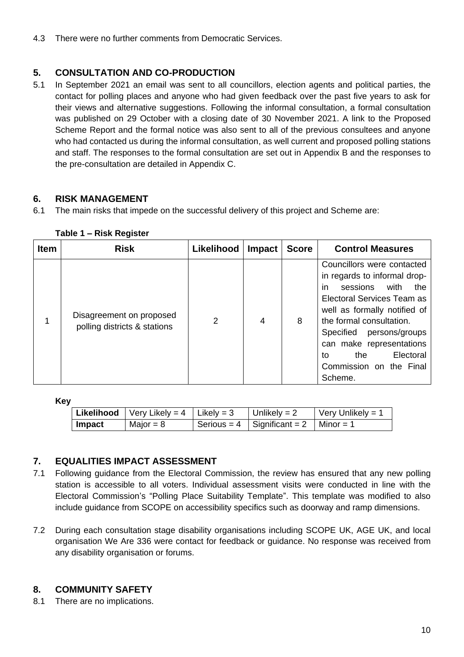4.3 There were no further comments from Democratic Services.

## **5. CONSULTATION AND CO-PRODUCTION**

5.1 In September 2021 an email was sent to all councillors, election agents and political parties, the contact for polling places and anyone who had given feedback over the past five years to ask for their views and alternative suggestions. Following the informal consultation, a formal consultation was published on 29 October with a closing date of 30 November 2021. A link to the Proposed Scheme Report and the formal notice was also sent to all of the previous consultees and anyone who had contacted us during the informal consultation, as well current and proposed polling stations and staff. The responses to the formal consultation are set out in Appendix B and the responses to the pre-consultation are detailed in Appendix C.

## **6. RISK MANAGEMENT**

6.1 The main risks that impede on the successful delivery of this project and Scheme are:

| <b>Item</b> | <b>Risk</b>                                              | Likelihood | Impact | <b>Score</b> | <b>Control Measures</b>                                                                                                                                                                                                                                                                                          |
|-------------|----------------------------------------------------------|------------|--------|--------------|------------------------------------------------------------------------------------------------------------------------------------------------------------------------------------------------------------------------------------------------------------------------------------------------------------------|
|             | Disagreement on proposed<br>polling districts & stations | 2          | 4      | 8            | Councillors were contacted<br>in regards to informal drop-<br>in<br>sessions<br>with<br>the<br>Electoral Services Team as<br>well as formally notified of<br>the formal consultation.<br>persons/groups<br>Specified<br>can make representations<br>Electoral<br>to<br>the<br>Commission on the Final<br>Scheme. |

#### **Table 1 – Risk Register**

**Key**

| Likelihood    | $\sqrt{\frac{1}{1}}$ Very Likely = 4 $\sqrt{\frac{1}{1}}$ Likely = 3 | Unlikely = $2$                            | $\sqrt{\frac{1}{1}}$ Very Unlikely = 1 |
|---------------|----------------------------------------------------------------------|-------------------------------------------|----------------------------------------|
| <b>Impact</b> | Major = $8$                                                          | Serious = 4   Significant = 2   Minor = 1 |                                        |

## **7. EQUALITIES IMPACT ASSESSMENT**

- 7.1 Following guidance from the Electoral Commission, the review has ensured that any new polling station is accessible to all voters. Individual assessment visits were conducted in line with the Electoral Commission's "Polling Place Suitability Template". This template was modified to also include guidance from SCOPE on accessibility specifics such as doorway and ramp dimensions.
- 7.2 During each consultation stage disability organisations including SCOPE UK, AGE UK, and local organisation We Are 336 were contact for feedback or guidance. No response was received from any disability organisation or forums.

## **8. COMMUNITY SAFETY**

8.1 There are no implications.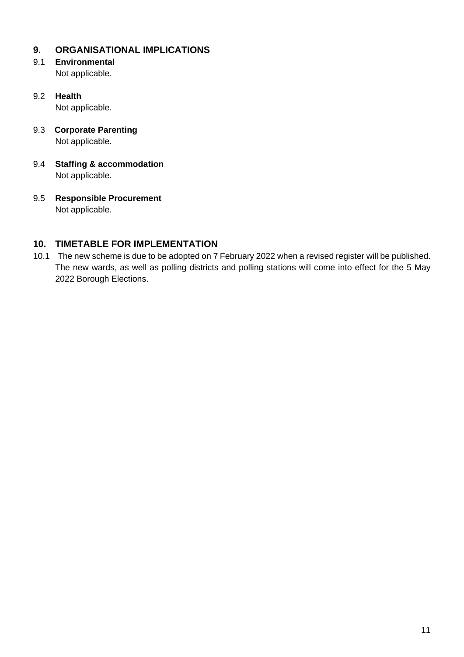## **9. ORGANISATIONAL IMPLICATIONS**

- 9.1 **Environmental** Not applicable.
- 9.2 **Health** Not applicable.
- 9.3 **Corporate Parenting** Not applicable.
- 9.4 **Staffing & accommodation** Not applicable.
- 9.5 **Responsible Procurement** Not applicable.

## **10. TIMETABLE FOR IMPLEMENTATION**

10.1 The new scheme is due to be adopted on 7 February 2022 when a revised register will be published. The new wards, as well as polling districts and polling stations will come into effect for the 5 May 2022 Borough Elections.